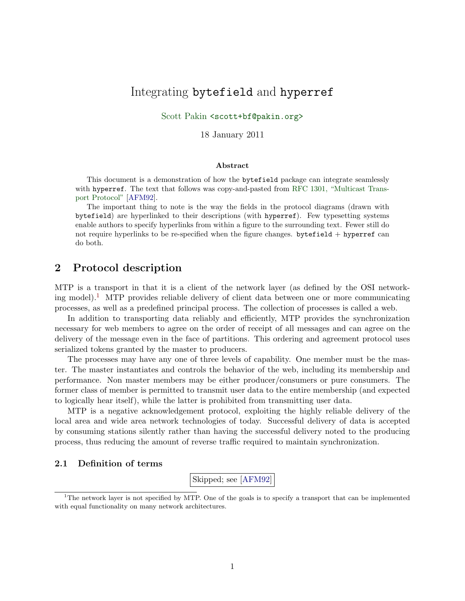# Integrating bytefield and hyperref

Scott Pakin [<scott+bf@pakin.org>](http://www.pakin.org/~scott)

18 January 2011

#### Abstract

This document is a demonstration of how the bytefield package can integrate seamlessly with hyperref. The text that follows was copy-and-pasted from [RFC 1301, "Multicast Trans](http://www.rfc-editor.org/rfc/rfc1301.txt)[port Protocol"](http://www.rfc-editor.org/rfc/rfc1301.txt) [\[AFM92\]](#page-6-0).

The important thing to note is the way the fields in the protocol diagrams (drawn with bytefield) are hyperlinked to their descriptions (with hyperref). Few typesetting systems enable authors to specify hyperlinks from within a figure to the surrounding text. Fewer still do not require hyperlinks to be re-specified when the figure changes. bytefield  $+$  hyperref can do both.

## 2 Protocol description

MTP is a transport in that it is a client of the network layer (as defined by the OSI network-ing model).<sup>[1](#page-0-0)</sup> MTP provides reliable delivery of client data between one or more communicating processes, as well as a predefined principal process. The collection of processes is called a web.

In addition to transporting data reliably and efficiently, MTP provides the synchronization necessary for web members to agree on the order of receipt of all messages and can agree on the delivery of the message even in the face of partitions. This ordering and agreement protocol uses serialized tokens granted by the master to producers.

The processes may have any one of three levels of capability. One member must be the master. The master instantiates and controls the behavior of the web, including its membership and performance. Non master members may be either producer/consumers or pure consumers. The former class of member is permitted to transmit user data to the entire membership (and expected to logically hear itself), while the latter is prohibited from transmitting user data.

MTP is a negative acknowledgement protocol, exploiting the highly reliable delivery of the local area and wide area network technologies of today. Successful delivery of data is accepted by consuming stations silently rather than having the successful delivery noted to the producing process, thus reducing the amount of reverse traffic required to maintain synchronization.

## 2.1 Definition of terms

Skipped; see [\[AFM92\]](#page-6-0)

<span id="page-0-0"></span><sup>1</sup>The network layer is not specified by MTP. One of the goals is to specify a transport that can be implemented with equal functionality on many network architectures.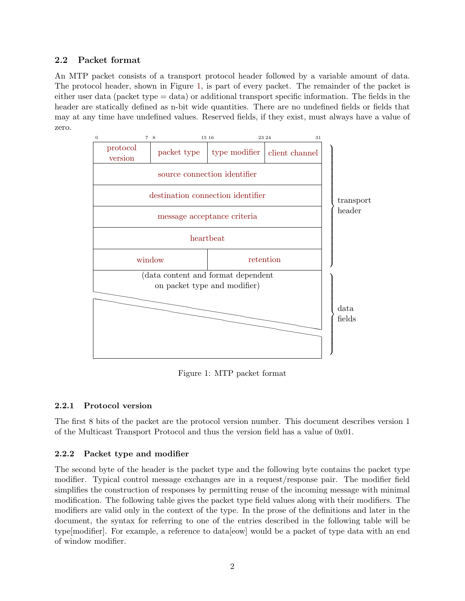## 2.2 Packet format

An MTP packet consists of a transport protocol header followed by a variable amount of data. The protocol header, shown in Figure [1,](#page-1-0) is part of every packet. The remainder of the packet is either user data (packet type  $=$  data) or additional transport specific information. The fields in the header are statically defined as n-bit wide quantities. There are no undefined fields or fields that may at any time have undefined values. Reserved fields, if they exist, must always have a value of zero.



<span id="page-1-0"></span>Figure 1: MTP packet format

## <span id="page-1-1"></span>2.2.1 Protocol version

The first 8 bits of the packet are the protocol version number. This document describes version 1 of the Multicast Transport Protocol and thus the version field has a value of 0x01.

## <span id="page-1-2"></span>2.2.2 Packet type and modifier

The second byte of the header is the packet type and the following byte contains the packet type modifier. Typical control message exchanges are in a request/response pair. The modifier field simplifies the construction of responses by permitting reuse of the incoming message with minimal modification. The following table gives the packet type field values along with their modifiers. The modifiers are valid only in the context of the type. In the prose of the definitions and later in the document, the syntax for referring to one of the entries described in the following table will be type[modifier]. For example, a reference to data[eow] would be a packet of type data with an end of window modifier.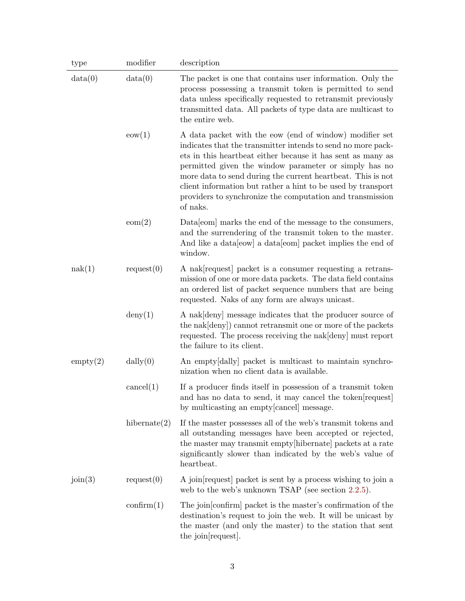| type     | modifier            | description                                                                                                                                                                                                                                                                                                                                                                                                                                             |
|----------|---------------------|---------------------------------------------------------------------------------------------------------------------------------------------------------------------------------------------------------------------------------------------------------------------------------------------------------------------------------------------------------------------------------------------------------------------------------------------------------|
| data(0)  | data(0)             | The packet is one that contains user information. Only the<br>process possessing a transmit token is permitted to send<br>data unless specifically requested to retransmit previously<br>transmitted data. All packets of type data are multicast to<br>the entire web.                                                                                                                                                                                 |
|          | $\text{eow}(1)$     | A data packet with the eow (end of window) modifier set<br>indicates that the transmitter intends to send no more pack-<br>ets in this heartbeat either because it has sent as many as<br>permitted given the window parameter or simply has no<br>more data to send during the current heartbeat. This is not<br>client information but rather a hint to be used by transport<br>providers to synchronize the computation and transmission<br>of naks. |
|          | eom(2)              | Data [com] marks the end of the message to the consumers,<br>and the surrendering of the transmit token to the master.<br>And like a data [eow] a data [eom] packet implies the end of<br>window.                                                                                                                                                                                                                                                       |
| nak(1)   | request(0)          | A nak request packet is a consumer requesting a retrans-<br>mission of one or more data packets. The data field contains<br>an ordered list of packet sequence numbers that are being<br>requested. Naks of any form are always unicast.                                                                                                                                                                                                                |
|          | $\text{deny}(1)$    | A nak [deny] message indicates that the producer source of<br>the nak [deny]) cannot retransmit one or more of the packets<br>requested. The process receiving the nak deny must report<br>the failure to its client.                                                                                                                                                                                                                                   |
| empty(2) | dally(0)            | An empty dally packet is multicast to maintain synchro-<br>nization when no client data is available.                                                                                                                                                                                                                                                                                                                                                   |
|          | cancel(1)           | If a producer finds itself in possession of a transmit token<br>and has no data to send, it may cancel the token request<br>by multicasting an empty[cancel] message.                                                                                                                                                                                                                                                                                   |
|          | hibernate $(2)$     | If the master possesses all of the web's transmit tokens and<br>all outstanding messages have been accepted or rejected,<br>the master may transmit empty [hibernate] packets at a rate<br>significantly slower than indicated by the web's value of<br>heartbeat.                                                                                                                                                                                      |
| join(3)  | request(0)          | A join request packet is sent by a process wishing to join a<br>web to the web's unknown TSAP (see section 2.2.5).                                                                                                                                                                                                                                                                                                                                      |
|          | $\text{confirm}(1)$ | The join [confirm] packet is the master's confirmation of the<br>destination's request to join the web. It will be unicast by<br>the master (and only the master) to the station that sent<br>the join request.                                                                                                                                                                                                                                         |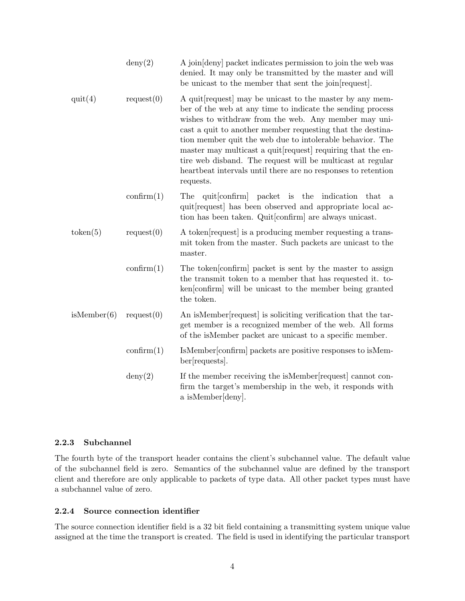|             | $\text{deny}(2)$    | A join deny packet indicates permission to join the web was<br>denied. It may only be transmitted by the master and will<br>be unicast to the member that sent the join request.                                                                                                                                                                                                                                                                                                                           |
|-------------|---------------------|------------------------------------------------------------------------------------------------------------------------------------------------------------------------------------------------------------------------------------------------------------------------------------------------------------------------------------------------------------------------------------------------------------------------------------------------------------------------------------------------------------|
| quit(4)     | request(0)          | A quit request may be unicast to the master by any mem-<br>ber of the web at any time to indicate the sending process<br>wishes to withdraw from the web. Any member may uni-<br>cast a quit to another member requesting that the destina-<br>tion member quit the web due to intolerable behavior. The<br>master may multicast a quit requiring that the en-<br>tire web disband. The request will be multicast at regular<br>heartbeat intervals until there are no responses to retention<br>requests. |
|             | $\text{confirm}(1)$ | quit[confirm] packet is the<br>indication<br>The<br>that<br>a<br>quit request has been observed and appropriate local ac-<br>tion has been taken. Quit [confirm] are always unicast.                                                                                                                                                                                                                                                                                                                       |
| token(5)    | request(0)          | A token request is a producing member requesting a trans-<br>mit token from the master. Such packets are unicast to the<br>master.                                                                                                                                                                                                                                                                                                                                                                         |
|             | $\text{confirm}(1)$ | The token confirm packet is sent by the master to assign<br>the transmit token to a member that has requested it. to-<br>ken confirm will be unicast to the member being granted<br>the token.                                                                                                                                                                                                                                                                                                             |
| isMember(6) | request(0)          | An isMember request is soliciting verification that the tar-<br>get member is a recognized member of the web. All forms<br>of the isMember packet are unicast to a specific member.                                                                                                                                                                                                                                                                                                                        |
|             | $\text{confirm}(1)$ | IsMember confirm packets are positive responses to isMem-<br>ber[requests].                                                                                                                                                                                                                                                                                                                                                                                                                                |
|             | $\text{deny}(2)$    | If the member receiving the isMember request cannot con-<br>firm the target's membership in the web, it responds with<br>a isMember[deny].                                                                                                                                                                                                                                                                                                                                                                 |

## <span id="page-3-0"></span>2.2.3 Subchannel

The fourth byte of the transport header contains the client's subchannel value. The default value of the subchannel field is zero. Semantics of the subchannel value are defined by the transport client and therefore are only applicable to packets of type data. All other packet types must have a subchannel value of zero.

## <span id="page-3-1"></span>2.2.4 Source connection identifier

The source connection identifier field is a 32 bit field containing a transmitting system unique value assigned at the time the transport is created. The field is used in identifying the particular transport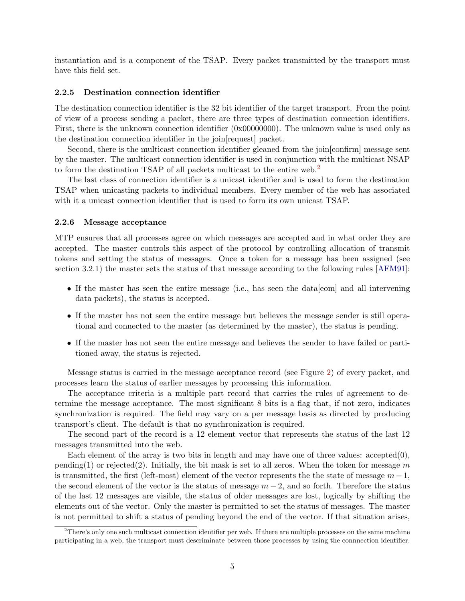instantiation and is a component of the TSAP. Every packet transmitted by the transport must have this field set.

#### <span id="page-4-2"></span><span id="page-4-0"></span>2.2.5 Destination connection identifier

The destination connection identifier is the 32 bit identifier of the target transport. From the point of view of a process sending a packet, there are three types of destination connection identifiers. First, there is the unknown connection identifier (0x00000000). The unknown value is used only as the destination connection identifier in the join[request] packet.

Second, there is the multicast connection identifier gleaned from the join[confirm] message sent by the master. The multicast connection identifier is used in conjunction with the multicast NSAP to form the destination TSAP of all packets multicast to the entire web.<sup>[2](#page-4-3)</sup>

The last class of connection identifier is a unicast identifier and is used to form the destination TSAP when unicasting packets to individual members. Every member of the web has associated with it a unicast connection identifier that is used to form its own unicast TSAP.

#### <span id="page-4-1"></span>2.2.6 Message acceptance

MTP ensures that all processes agree on which messages are accepted and in what order they are accepted. The master controls this aspect of the protocol by controlling allocation of transmit tokens and setting the status of messages. Once a token for a message has been assigned (see section 3.2.1) the master sets the status of that message according to the following rules [\[AFM91\]](#page-6-1):

- If the master has seen the entire message (i.e., has seen the data [eom] and all intervening data packets), the status is accepted.
- If the master has not seen the entire message but believes the message sender is still operational and connected to the master (as determined by the master), the status is pending.
- If the master has not seen the entire message and believes the sender to have failed or partitioned away, the status is rejected.

Message status is carried in the message acceptance record (see Figure [2\)](#page-5-3) of every packet, and processes learn the status of earlier messages by processing this information.

<span id="page-4-4"></span>The acceptance criteria is a multiple part record that carries the rules of agreement to determine the message acceptance. The most significant 8 bits is a flag that, if not zero, indicates synchronization is required. The field may vary on a per message basis as directed by producing transport's client. The default is that no synchronization is required.

<span id="page-4-5"></span>The second part of the record is a 12 element vector that represents the status of the last 12 messages transmitted into the web.

Each element of the array is two bits in length and may have one of three values:  $\text{accepted}(0)$ , pending(1) or rejected(2). Initially, the bit mask is set to all zeros. When the token for message m is transmitted, the first (left-most) element of the vector represents the the state of message  $m-1$ , the second element of the vector is the status of message  $m-2$ , and so forth. Therefore the status of the last 12 messages are visible, the status of older messages are lost, logically by shifting the elements out of the vector. Only the master is permitted to set the status of messages. The master is not permitted to shift a status of pending beyond the end of the vector. If that situation arises,

<span id="page-4-3"></span><sup>2</sup>There's only one such multicast connection identifier per web. If there are multiple processes on the same machine participating in a web, the transport must descriminate between those processes by using the connnection identifier.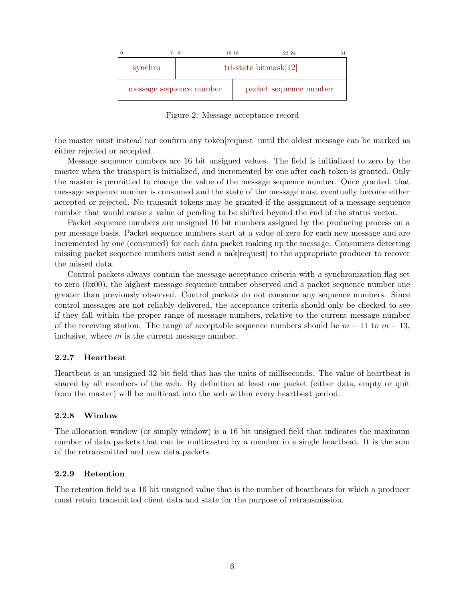

<span id="page-5-3"></span>Figure 2: Message acceptance record

the master must instead not confirm any token[request] until the oldest message can be marked as either rejected or accepted.

<span id="page-5-4"></span>Message sequence numbers are 16 bit unsigned values. The field is initialized to zero by the master when the transport is initialized, and incremented by one after each token is granted. Only the master is permitted to change the value of the message sequence number. Once granted, that message sequence number is consumed and the state of the message must eventually become either accepted or rejected. No transmit tokens may be granted if the assignment of a message sequence number that would cause a value of pending to be shifted beyond the end of the status vector.

<span id="page-5-5"></span>Packet sequence numbers are unsigned 16 bit numbers assigned by the producing process on a per message basis. Packet sequence numbers start at a value of zero for each new message and are incremented by one (consumed) for each data packet making up the message. Consumers detecting missing packet sequence numbers must send a nak[request] to the appropriate producer to recover the missed data.

Control packets always contain the message acceptance criteria with a synchronization flag set to zero (0x00), the highest message sequence number observed and a packet sequence number one greater than previously observed. Control packets do not consume any sequence numbers. Since control messages are not reliably delivered, the acceptance criteria should only be checked to see if they fall within the proper range of message numbers, relative to the current message number of the receiving station. The range of acceptable sequence numbers should be  $m - 11$  to  $m - 13$ , inclusive, where  $m$  is the current message number.

## <span id="page-5-0"></span>2.2.7 Heartbeat

Heartbeat is an unsigned 32 bit field that has the units of milliseconds. The value of heartbeat is shared by all members of the web. By definition at least one packet (either data, empty or quit from the master) will be multicast into the web within every heartbeat period.

## <span id="page-5-1"></span>2.2.8 Window

The allocation window (or simply window) is a 16 bit unsigned field that indicates the maximum number of data packets that can be multicasted by a member in a single heartbeat. It is the sum of the retransmitted and new data packets.

## <span id="page-5-2"></span>2.2.9 Retention

The retention field is a 16 bit unsigned value that is the number of heartbeats for which a producer must retain transmitted client data and state for the purpose of retransmission.